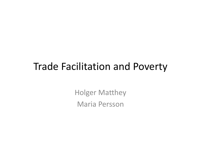## Trade Facilitation and Poverty

Holger Matthey Maria Persson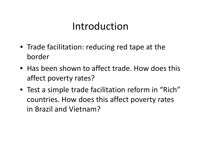# Introduction

- Trade facilitation: reducing red tape at the border
- Has been shown to affect trade. How does this affect poverty rates?
- Test a simple trade facilitation reform in "Rich" countries. How does this affect poverty rates in Brazil and Vietnam?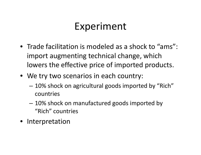# Experiment

- Trade facilitation is modeled as <sup>a</sup> shock to "ams": import augmenting technical change, which lowers the effective price of imported products.
- We try two scenarios in each country:
	- 10% shock on agricultural goods imported by "Rich" countries
	- 10% shock on manufactured goods imported by "Rich" countries
- •Interpretation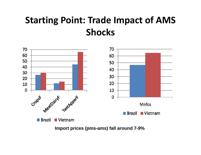## **Starting Point: Trade Impact of AMS Shocks**



**Import prices (pms-ams) fall around 7-9%**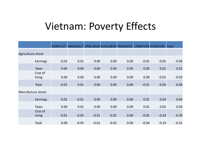## Vietnam: Poverty Effects

|                   |                   | <b>AGRICULT</b> |         |         |         | NNAGRCLT URBLABOR RURLABOR TRANSFER |         | <b>URBDIVRS RURDIVRS Total</b> |         |
|-------------------|-------------------|-----------------|---------|---------|---------|-------------------------------------|---------|--------------------------------|---------|
| Agriculture shock |                   |                 |         |         |         |                                     |         |                                |         |
|                   | Earnings          | $-0.02$         | 0.01    | 0.00    | 0.00    | 0.00                                | $-0.01$ | $-0.05$                        | $-0.06$ |
|                   | <b>Taxes</b>      | 0.00            | 0.00    | 0.00    | 0.00    | 0.00                                | 0.00    | 0.01                           | 0.02    |
|                   | Cost of<br>living | 0.00            | 0.00    | 0.00    | 0.00    | 0.00                                | 0.00    | $-0.01$                        | $-0.02$ |
|                   | <b>Total</b>      | $-0.02$         | 0.01    | 0.00    | 0.00    | 0.00                                | $-0.01$ | $-0.05$                        | $-0.06$ |
| Manufacture shock |                   |                 |         |         |         |                                     |         |                                |         |
|                   | Earnings          | 0.02            | $-0.01$ | 0.00    | 0.00    | 0.00                                | 0.01    | 0.04                           | 0.04    |
|                   | <b>Taxes</b>      | 0.00            | 0.01    | 0.00    | 0.00    | 0.00                                | 0.01    | 0.02                           | 0.04    |
|                   | Cost of<br>living | $-0.01$         | $-0.05$ | $-0.01$ | $-0.02$ | 0.00                                | $-0.05$ | $-0.24$                        | $-0.39$ |
|                   | Total             | 0.00            | $-0.05$ | $-0.01$ | $-0.02$ | 0.00                                | $-0.04$ | $-0.19$                        | $-0.31$ |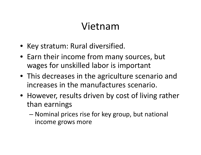# Vietnam

- Key stratum: Rural diversified.
- Earn their income from many sources, but wages for unskilled labor is important
- This decreases in the agriculture scenario and increases in the manufactures scenario.
- However, results driven by cost of living rather than earnings
	- – Nominal prices rise for key group, but national income grows more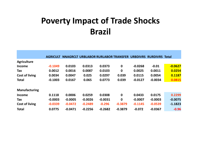### **Poverty Impact of Trade Shocks Brazil**

|                       | <b>AGRICULT</b> |           |           |           | NNAGRCLT URBLABOR RURLABOR TRANSFER URBDIVRS RURDIVRS Total |           |           |           |
|-----------------------|-----------------|-----------|-----------|-----------|-------------------------------------------------------------|-----------|-----------|-----------|
|                       |                 |           |           |           |                                                             |           |           |           |
| <b>Agriculture</b>    |                 |           |           |           |                                                             |           |           |           |
| <b>Income</b>         | $-0.1049$       | 0.0103    | 0.0313    | 0.0373    | $\mathbf 0$                                                 | $-0.0268$ | $-0.01$   | $-0.0627$ |
| <b>Tax</b>            | 0.0012          | 0.0016    | 0.0087    | 0.0103    | $\mathbf 0$                                                 | 0.0025    | 0.0011    | 0.0254    |
| <b>Cost of living</b> | 0.0034          | 0.0047    | 0.025     | 0.0297    | 0.039                                                       | 0.0115    | 0.0054    | 0.1187    |
| <b>Total</b>          | $-0.1003$       | 0.0167    | 0.065     | 0.0773    | 0.039                                                       | $-0.0127$ | $-0.0034$ | 0.0815    |
|                       |                 |           |           |           |                                                             |           |           |           |
| <b>Manufacturing</b>  |                 |           |           |           |                                                             |           |           |           |
| <b>Income</b>         | 0.1118          | 0.0006    | 0.0259    | 0.0308    | $\mathbf 0$                                                 | 0.0433    | 0.0175    | 0.2299    |
| Tax                   | $-0.0003$       | $-0.0005$ | $-0.0026$ | $-0.0031$ | $\mathbf 0$                                                 | $-0.0007$ | $-0.0003$ | $-0.0075$ |
| <b>Cost of living</b> | $-0.0339$       | $-0.0472$ | $-0.2489$ | $-0.296$  | $-0.3879$                                                   | $-0.1145$ | $-0.0539$ | $-1.1823$ |
| <b>Total</b>          | 0.0775          | $-0.0471$ | $-0.2256$ | $-0.2682$ | $-0.3879$                                                   | $-0.072$  | $-0.0367$ | $-0.96$   |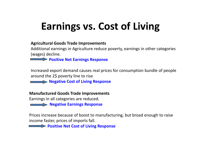# **Earnings vs. Cost of Living**

#### **Agricultural Goods Trade Improvements**

Additional earnings in Agriculture reduce poverty, earnings in other categories (wages) decline.

**Positive Net Earnings Response**

Increased export demand causes real prices for consumption bundle of people around the 2\$ poverty line to rise

**Negative Cost of Living Response**

**Manufactured Goods Trade Improvements**

Earnings in all categories are reduced.

**Negative Earnings Response**

Prices increase because of boost to manufacturing, but broad enough to raise income faster, prices of imports fall.

**Positive Net Cost of Living Response**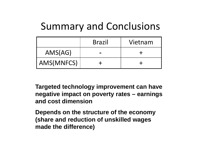# Summary and Conclusions

|            | <b>Brazil</b> | Vietnam |
|------------|---------------|---------|
| AMS(AG)    |               |         |
| AMS(MNFCS) |               |         |

**Targeted technology improvement can have negative impact on poverty rates – earnings and cost dimension**

**Depends on the structure of the economy (share and reduction of unskilled wages made the difference)**